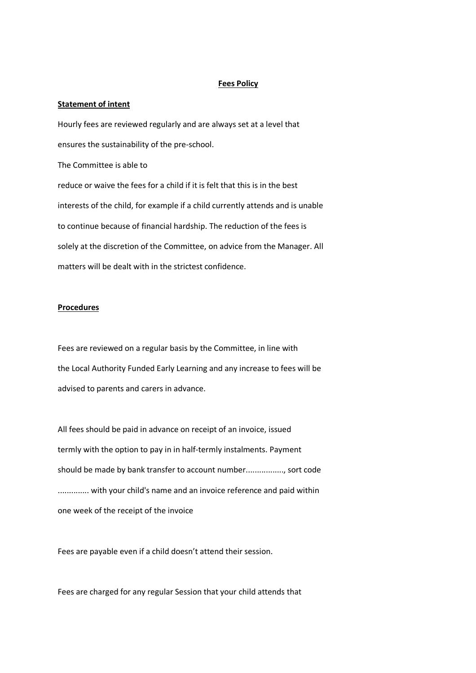## **Fees Policy**

## **Statement of intent**

Hourly fees are reviewed regularly and are always set at a level that ensures the sustainability of the pre-school. The Committee is able to reduce or waive the fees for a child if it is felt that this is in the best interests of the child, for example if a child currently attends and is unable to continue because of financial hardship. The reduction of the fees is solely at the discretion of the Committee, on advice from the Manager. All matters will be dealt with in the strictest confidence.

## **Procedures**

Fees are reviewed on a regular basis by the Committee, in line with the Local Authority Funded Early Learning and any increase to fees will be advised to parents and carers in advance.

All fees should be paid in advance on receipt of an invoice, issued termly with the option to pay in in half-termly instalments. Payment should be made by bank transfer to account number................., sort code .............. with your child's name and an invoice reference and paid within one week of the receipt of the invoice

Fees are payable even if a child doesn't attend their session.

Fees are charged for any regular Session that your child attends that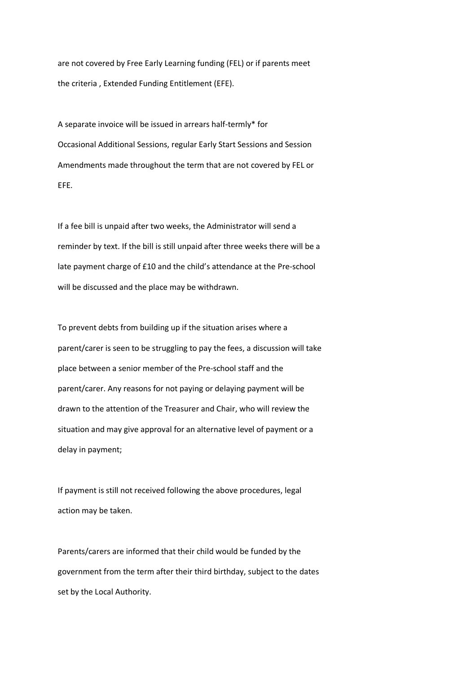are not covered by Free Early Learning funding (FEL) or if parents meet the criteria , Extended Funding Entitlement (EFE).

A separate invoice will be issued in arrears half-termly\* for Occasional Additional Sessions, regular Early Start Sessions and Session Amendments made throughout the term that are not covered by FEL or EFE.

If a fee bill is unpaid after two weeks, the Administrator will send a reminder by text. If the bill is still unpaid after three weeks there will be a late payment charge of £10 and the child's attendance at the Pre-school will be discussed and the place may be withdrawn.

To prevent debts from building up if the situation arises where a parent/carer is seen to be struggling to pay the fees, a discussion will take place between a senior member of the Pre-school staff and the parent/carer. Any reasons for not paying or delaying payment will be drawn to the attention of the Treasurer and Chair, who will review the situation and may give approval for an alternative level of payment or a delay in payment;

If payment is still not received following the above procedures, legal action may be taken.

Parents/carers are informed that their child would be funded by the government from the term after their third birthday, subject to the dates set by the Local Authority.